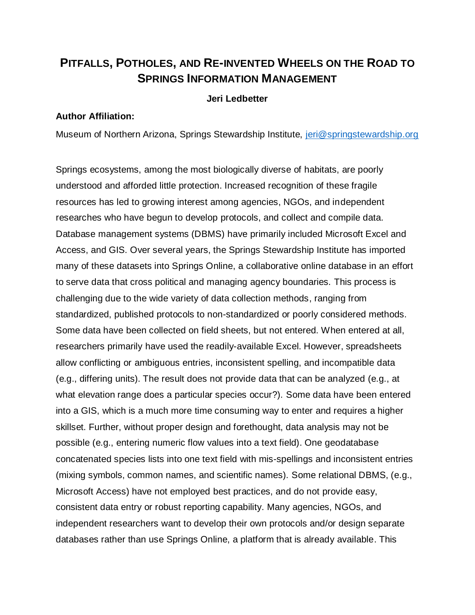## **PITFALLS, POTHOLES, AND RE-INVENTED WHEELS ON THE ROAD TO SPRINGS INFORMATION MANAGEMENT**

## **Jeri Ledbetter**

## **Author Affiliation:**

Museum of Northern Arizona, Springs Stewardship Institute, [jeri@springstewardship.org](mailto:jeri@springstewardship.org)

Springs ecosystems, among the most biologically diverse of habitats, are poorly understood and afforded little protection. Increased recognition of these fragile resources has led to growing interest among agencies, NGOs, and independent researches who have begun to develop protocols, and collect and compile data. Database management systems (DBMS) have primarily included Microsoft Excel and Access, and GIS. Over several years, the Springs Stewardship Institute has imported many of these datasets into Springs Online, a collaborative online database in an effort to serve data that cross political and managing agency boundaries. This process is challenging due to the wide variety of data collection methods, ranging from standardized, published protocols to non-standardized or poorly considered methods. Some data have been collected on field sheets, but not entered. When entered at all, researchers primarily have used the readily-available Excel. However, spreadsheets allow conflicting or ambiguous entries, inconsistent spelling, and incompatible data (e.g., differing units). The result does not provide data that can be analyzed (e.g., at what elevation range does a particular species occur?). Some data have been entered into a GIS, which is a much more time consuming way to enter and requires a higher skillset. Further, without proper design and forethought, data analysis may not be possible (e.g., entering numeric flow values into a text field). One geodatabase concatenated species lists into one text field with mis-spellings and inconsistent entries (mixing symbols, common names, and scientific names). Some relational DBMS, (e.g., Microsoft Access) have not employed best practices, and do not provide easy, consistent data entry or robust reporting capability. Many agencies, NGOs, and independent researchers want to develop their own protocols and/or design separate databases rather than use Springs Online, a platform that is already available. This